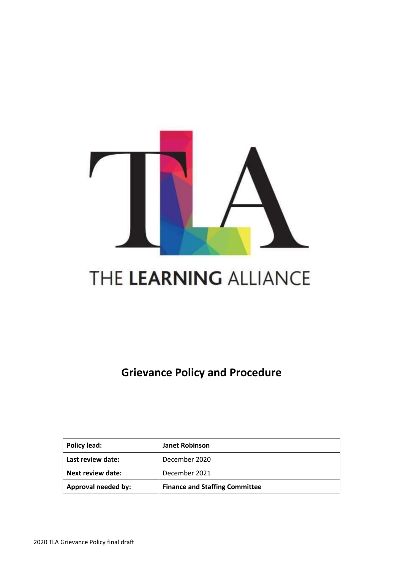

# THE LEARNING ALLIANCE

**Grievance Policy and Procedure**

| Policy lead:             | <b>Janet Robinson</b>                 |
|--------------------------|---------------------------------------|
| Last review date:        | December 2020                         |
| <b>Next review date:</b> | December 2021                         |
| Approval needed by:      | <b>Finance and Staffing Committee</b> |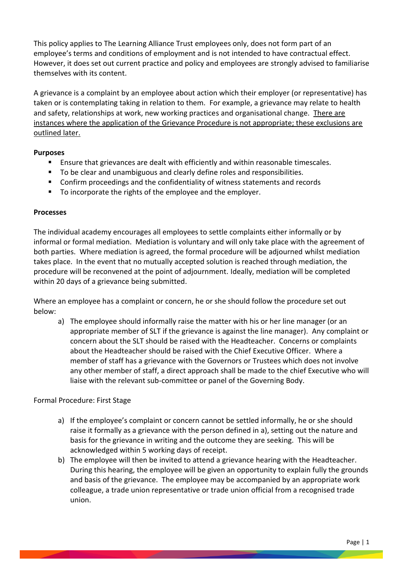This policy applies to The Learning Alliance Trust employees only, does not form part of an employee's terms and conditions of employment and is not intended to have contractual effect. However, it does set out current practice and policy and employees are strongly advised to familiarise themselves with its content.

A grievance is a complaint by an employee about action which their employer (or representative) has taken or is contemplating taking in relation to them. For example, a grievance may relate to health and safety, relationships at work, new working practices and organisational change. There are instances where the application of the Grievance Procedure is not appropriate; these exclusions are outlined later.

#### **Purposes**

- Ensure that grievances are dealt with efficiently and within reasonable timescales.
- To be clear and unambiguous and clearly define roles and responsibilities.
- Confirm proceedings and the confidentiality of witness statements and records
- To incorporate the rights of the employee and the employer.

## **Processes**

The individual academy encourages all employees to settle complaints either informally or by informal or formal mediation. Mediation is voluntary and will only take place with the agreement of both parties. Where mediation is agreed, the formal procedure will be adjourned whilst mediation takes place. In the event that no mutually accepted solution is reached through mediation, the procedure will be reconvened at the point of adjournment. Ideally, mediation will be completed within 20 days of a grievance being submitted.

Where an employee has a complaint or concern, he or she should follow the procedure set out below:

a) The employee should informally raise the matter with his or her line manager (or an appropriate member of SLT if the grievance is against the line manager). Any complaint or concern about the SLT should be raised with the Headteacher. Concerns or complaints about the Headteacher should be raised with the Chief Executive Officer. Where a member of staff has a grievance with the Governors or Trustees which does not involve any other member of staff, a direct approach shall be made to the chief Executive who will liaise with the relevant sub-committee or panel of the Governing Body.

## Formal Procedure: First Stage

- a) If the employee's complaint or concern cannot be settled informally, he or she should raise it formally as a grievance with the person defined in a), setting out the nature and basis for the grievance in writing and the outcome they are seeking. This will be acknowledged within 5 working days of receipt.
- b) The employee will then be invited to attend a grievance hearing with the Headteacher. During this hearing, the employee will be given an opportunity to explain fully the grounds and basis of the grievance. The employee may be accompanied by an appropriate work colleague, a trade union representative or trade union official from a recognised trade union.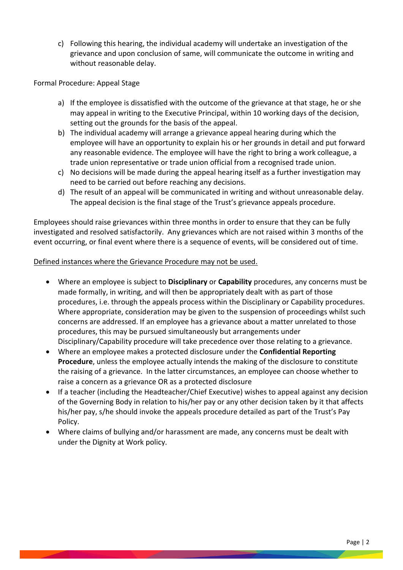c) Following this hearing, the individual academy will undertake an investigation of the grievance and upon conclusion of same, will communicate the outcome in writing and without reasonable delay.

Formal Procedure: Appeal Stage

- a) If the employee is dissatisfied with the outcome of the grievance at that stage, he or she may appeal in writing to the Executive Principal, within 10 working days of the decision, setting out the grounds for the basis of the appeal.
- b) The individual academy will arrange a grievance appeal hearing during which the employee will have an opportunity to explain his or her grounds in detail and put forward any reasonable evidence. The employee will have the right to bring a work colleague, a trade union representative or trade union official from a recognised trade union.
- c) No decisions will be made during the appeal hearing itself as a further investigation may need to be carried out before reaching any decisions.
- d) The result of an appeal will be communicated in writing and without unreasonable delay. The appeal decision is the final stage of the Trust's grievance appeals procedure.

Employees should raise grievances within three months in order to ensure that they can be fully investigated and resolved satisfactorily. Any grievances which are not raised within 3 months of the event occurring, or final event where there is a sequence of events, will be considered out of time.

## Defined instances where the Grievance Procedure may not be used.

- Where an employee is subject to **Disciplinary** or **Capability** procedures, any concerns must be made formally, in writing, and will then be appropriately dealt with as part of those procedures, i.e. through the appeals process within the Disciplinary or Capability procedures. Where appropriate, consideration may be given to the suspension of proceedings whilst such concerns are addressed. If an employee has a grievance about a matter unrelated to those procedures, this may be pursued simultaneously but arrangements under Disciplinary/Capability procedure will take precedence over those relating to a grievance.
- Where an employee makes a protected disclosure under the **Confidential Reporting Procedure**, unless the employee actually intends the making of the disclosure to constitute the raising of a grievance. In the latter circumstances, an employee can choose whether to raise a concern as a grievance OR as a protected disclosure
- If a teacher (including the Headteacher/Chief Executive) wishes to appeal against any decision of the Governing Body in relation to his/her pay or any other decision taken by it that affects his/her pay, s/he should invoke the appeals procedure detailed as part of the Trust's Pay Policy.
- Where claims of bullying and/or harassment are made, any concerns must be dealt with under the Dignity at Work policy.